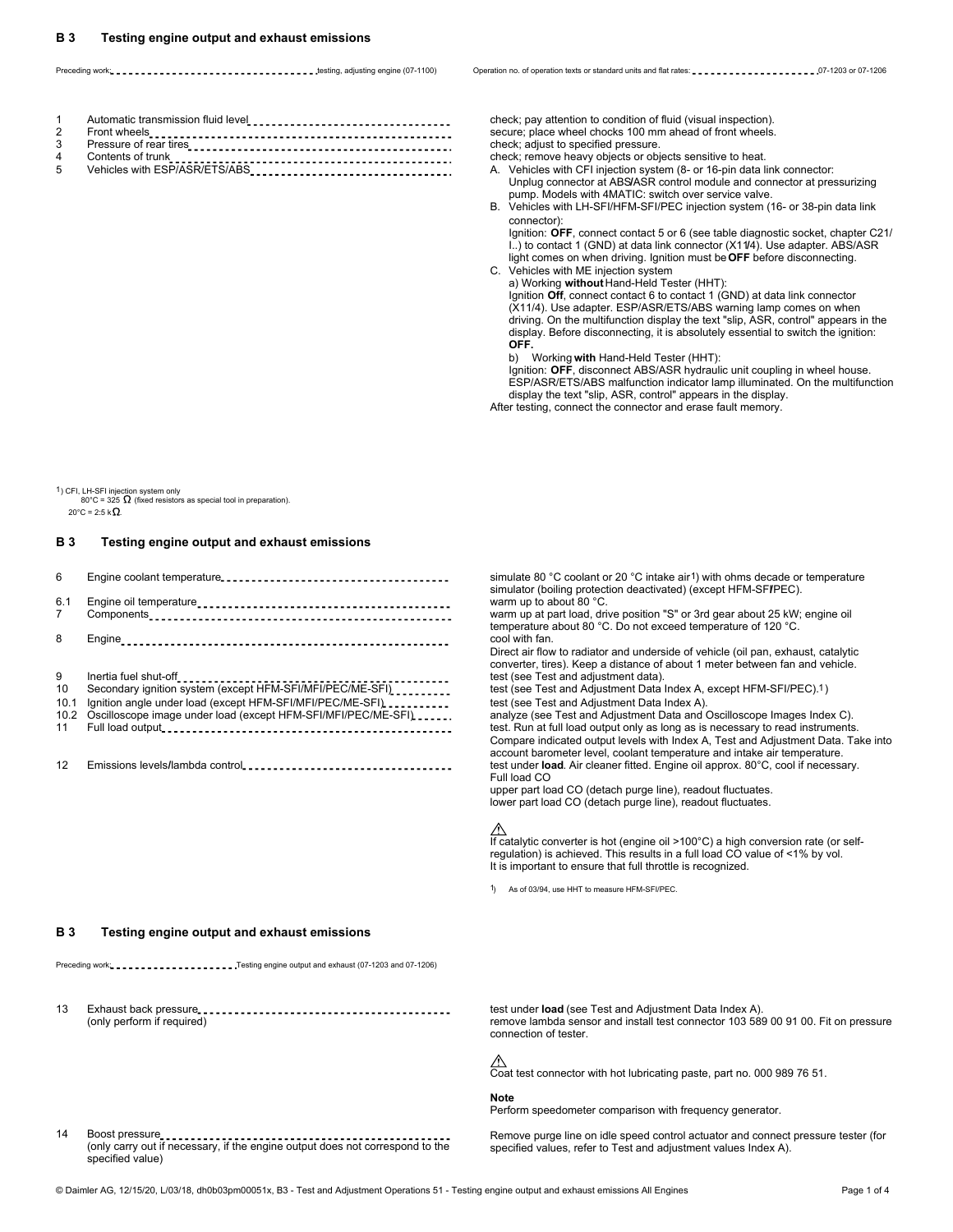Preceding work: **1997-1998** or 07-1208 or 07-1206 or 07-1206 (DT-1100) Operation no. of operation rexts or standard units and flat rates: **1997-1998** or 07-1206 or 07-1206

| 1 Automatic transmission fluid level <b>[100] 100 COVID-100 100 100 100 100 100 100 100 100 100 100 100 100 100 100 100 100 100 100 100 100 100 100 100 100 100 100 100</b> |
|-----------------------------------------------------------------------------------------------------------------------------------------------------------------------------|
|                                                                                                                                                                             |
|                                                                                                                                                                             |
|                                                                                                                                                                             |
| 5 Vehicles with ESP/ASR/ETS/ABS<br>1                                                                                                                                        |

check; pay attention to condition of fluid (visual inspection). secure; place wheel chocks 100 mm ahead of front wheels. check; adjust to specified pressure.

check; remove heavy objects or objects sensitive to heat.

5 Vehicles with ESP/ASR/ETS/ABS A. Vehicles with CFI injection system (8- or 16-pin data link connector: Unplug connector at ABS**/**ASR control module and connector at pressurizing pump. Models with 4MATIC: switch over service valve.

B. Vehicles with LH-SFI/HFM-SFI/PEC injection system (16- or 38-pin data link connector)

Ignition: **OFF**, connect contact 5 or 6 (see table diagnostic socket, chapter C21/ I..) to contact 1 (GND) at data link connector (X11**/**4). Use adapter. ABS/ASR light comes on when driving. Ignition must be **OFF** before disconnecting. C. Vehicles with ME injection system

a) Working **without** Hand-Held Tester (HHT): Ignition **Off**, connect contact 6 to contact 1 (GND) at data link connector

(X11/4). Use adapter. ESP/ASR/ETS/ABS warning lamp comes on when driving. On the multifunction display the text "slip, ASR, control" appears in the display. Before disconnecting, it is absolutely essential to switch the ignition: **OFF.**

b) Working **with** Hand-Held Tester (HHT):

Ignition: **OFF**, disconnect ABS/ASR hydraulic unit coupling in wheel house. ESP/ASR/ETS/ABS malfunction indicator lamp illuminated. On the multifunction display the text "slip, ASR, control" appears in the display.

After testing, connect the connector and erase fault memory.

1) CFI, LH-SFI injection system only  $80^{\circ}$ C = 325  $\Omega$  (fixed resistors as special tool in preparation).

 $20^{\circ}$ C = 2:5 k $\Omega$ .

## **B 3 Testing engine output and exhaust emissions**

| 6                             |                                                                                                                                                                                                          |
|-------------------------------|----------------------------------------------------------------------------------------------------------------------------------------------------------------------------------------------------------|
| 6.1<br>7                      |                                                                                                                                                                                                          |
| 8                             |                                                                                                                                                                                                          |
| 9<br>10<br>10.1<br>10.2<br>11 | Secondary ignition system (except HFM-SFI/MFI/PEC/ME-SFI) _________<br>Ignition angle under load (except HFM-SFI/MFI/PEC/ME-SFI)<br>Oscilloscope image under load (except HFM-SFI/MFI/PEC/ME-SFI) _____. |
| 12                            |                                                                                                                                                                                                          |

simulate 80 °C coolant or 20 °C intake air 1) with ohms decade or temperature simulator (boiling protection deactivated) (except HFM-SFIPEC). warm up to about 80 °C.

warm up at part load, drive position "S" or 3rd gear about 25 kW; engine oil temperature about 80 °C. Do not exceed temperature of 120 °C. cool with fan.

Direct air flow to radiator and underside of vehicle (oil pan, exhaust, catalytic converter, tires). Keep a distance of about 1 meter between fan and vehicle. test (see Test and adjustment data).

test (see Test and Adjustment Data Index A, except HFM-SFI/PEC). 1) test (see Test and Adjustment Data Index A).

analyze (see Test and Adjustment Data and Oscilloscope Images Index C). test. Run at full load output only as long as is necessary to read instruments. Compare indicated output levels with Index A, Test and Adjustment Data. Take into account barometer level, coolant temperature and intake air temperature. 12 Emissions levels**/**lambda control test under **load**. Air cleaner fitted. Engine oil approx. 80°C, cool if necessary. Full load CO

> upper part load CO (detach purge line), readout fluctuates. lower part load CO (detach purge line), readout fluctuates.

### ∧

If catalytic converter is hot (engine oil >100°C) a high conversion rate (or selfregulation) is achieved. This results in a full load CO value of <1% by vol. It is important to ensure that full throttle is recognized.

As of 03/94, use HHT to measure HFM-SFI/PEC.

# **B 3 Testing engine output and exhaust emissions**

Preceding work: .....................Testing engine output and exhaust (07-1203 and 07-1206)

13 Exhaust back pressure examedation of the test under **load** (see Test and Adjustment Data Index A).<br>13 femove lambda sensor and install test connector 103 58

remove lambda sensor and install test connector 103 589 00 91 00. Fit on pressure connection of tester.

 $\hat{\triangle}$ <br>Coat test connector with hot lubricating paste, part no. 000 989 76 51.

### **Note**

Perform speedometer comparison with frequency generator.

(only carry out if necessary, if the engine output does not correspond to the specified values, refer to Test and adjustment values Index A). specified value)

14 Boost pressure **Remove and Connect pressure tester** (for the speed control actuator and connect pressure tester (for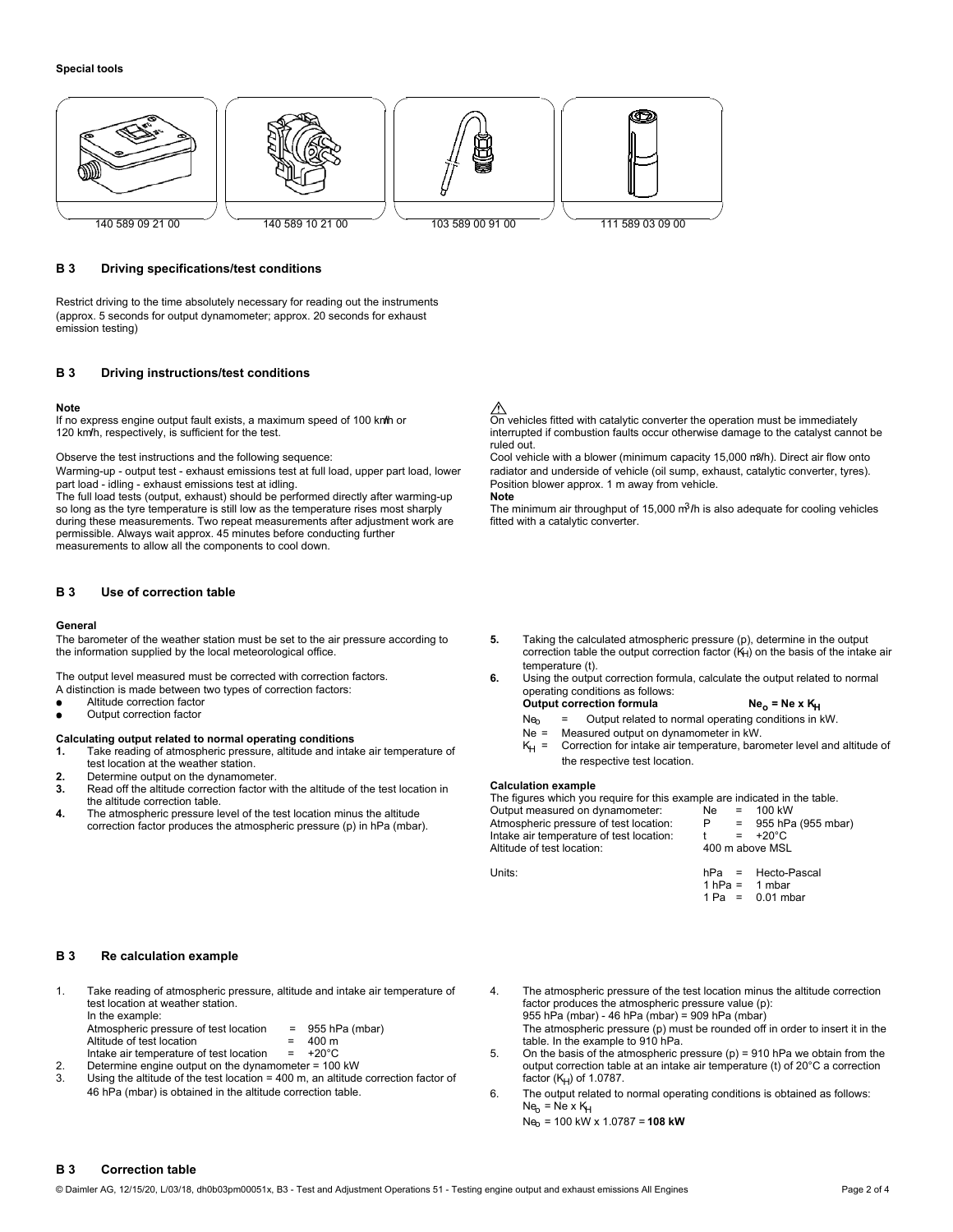

### **B 3 Driving specifications/test conditions**

Restrict driving to the time absolutely necessary for reading out the instruments (approx. 5 seconds for output dynamometer; approx. 20 seconds for exhaust emission testing)

### **B 3 Driving instructions/test conditions**

### **Note**

If no express engine output fault exists, a maximum speed of 100 km/h or **On vehicles fitted with catalytic converter** the operation must be immediately<br>The interrupted if combustion faults occur otherwise damage to the ca

part load - idling - exhaust emissions test at idling.<br>The full load tests (output, exhaust) should be performed directly after warming-up Note

so long as the tyre temperature is still low as the temperature rises most sharply The minimum air throughput of 15,000 m<sup>3</sup>/h is also adequate for cooling vehicles during these measurements. Two repeat measurements after during these measurements. Two repeat measurements after adjustment work are permissible. Always wait approx. 45 minutes before conducting further measurements to allow all the components to cool down.

# **B 3 Use of correction table**

### **General**

The barometer of the weather station must be set to the air pressure according to **5.** Taking the calculated atmospheric pressure (p), determine in the output the information supplied by the local meteorological office. **5** 

- A distinction is made between two types of correction factors:<br>
 Altitude correction factor<br>  **Altitude correction factor**
- 
- 

- Calculating output related to normal operating conditions<br>
1. Take reading of atmospheric pressure, altitude and intake air temperature of<br>
2. Determine output on the dynamometer.<br>
2. Determine output on the dynamometer.
- 
- **2. 2.** Read off the altitude correction factor with the altitude of the test location in **Calculation example** the altitude correction fable. The figures which you
- 

## ⚠

interrupted if combustion faults occur otherwise damage to the catalyst cannot be ruled out.

Observe the test instructions and the following sequence: Cool vehicle with a blower (minimum capacity 15,000 m3**/**h). Direct air flow onto Warming-up - output test - exhaust emissions test at full load, upper part load, lower radiator and underside of vehicle (oil sump, exhaust, catalytic converter, tyres).<br>
part load - idling - exhaust emissions test at idli

- correction table the output correction factor  $(K<sub>H</sub>)$  on the basis of the intake air temperature (t).
- The output level measured must be corrected with correction factors. **6.** Using the output correction formula, calculate the output related to normal **A** distinction is made between two types of correction factors: **6.** Op

- Altitude correction factor **Ne<sub>o</sub> = Ne x K<sub>H</sub>**<br>Output correction factor **Neo = Output related to normal operating conditions in kW.**<br>Ne = Measured output on dynamometer in kW.
	-
	-

The figures which you require for this example are indicated in the table.<br>Output measured on dynamometer:  $\qquad$  Ne = 100 kW **4.** The atmospheric pressure level of the test location minus the altitude Cutput measured on dynamometer: Ne = 100 kW<br>Correction factor produces the atmospheric pressure (p) in hPa (mbar). Atmospheric pressure of test lo oorrection factor produces the atmospheric pressure (p) in hPa (mbar). P = 955 hP<br>Intake air temperature of test location: t = +20°C<br>Altitude of test location: t = +200 m above MSL Altitude of test location:

Units: Units: being the Units: the Units: the Units: the Units: the Units: the Units: the Units: the Units: the Units: the Units: the Units: the Units: the Units: the Units: the Units: the Units: the Units: the Units: the

 $1 hPa = 1 mbar$ 1 Pa = 0.01 mbar

## **B 3 Re calculation example**

1. Take reading of atmospheric pressure, altitude and intake air temperature of 4. The atmospheric pressure of the test location minus the altitude correction test location at weather station. factor produces the atmospheric pressure value (p): In the example: 955 hPa (mbar) - 46 hPa (mbar) = 909 hPa (mbar)

Altitude of test location  $= 400 \text{ m}$ <br>
Intake air temperature of test location  $= +20^{\circ}\text{C}$  5. On the basis of the atmospheric r

- 
- 3. Using the altitude of the test location = 400 m, an altitude correction factor of factor ( $K_H$ ) of 1.0787.<br>46 hPa (mbar) is obtained in the altitude correction table. 6. The output related to
- 
- Atmospheric pressure of test location = 955 hPa (mbar) The atmospheric pressure (p) must be rounded off in order to insert it in the
- Intake air temperature of test location = +20°C 5. On the basis of the atmospheric pressure (p) = 910 hPa we obtain from the Determine engine output on the dynamometer = 100 kW betain from the output correction table at an 2. Determine engine output on the dynamometer = 100 kW output correction table at an intake air temperature (t) of 20°C a correction
	- 6. The output related to normal operating conditions is obtained as follows:  $Ne<sub>b</sub>$  = Ne x  $K<sub>H</sub>$ 
		- Neo = 100 kW x 1.0787 = **108 kW**

## **B 3 Correction table**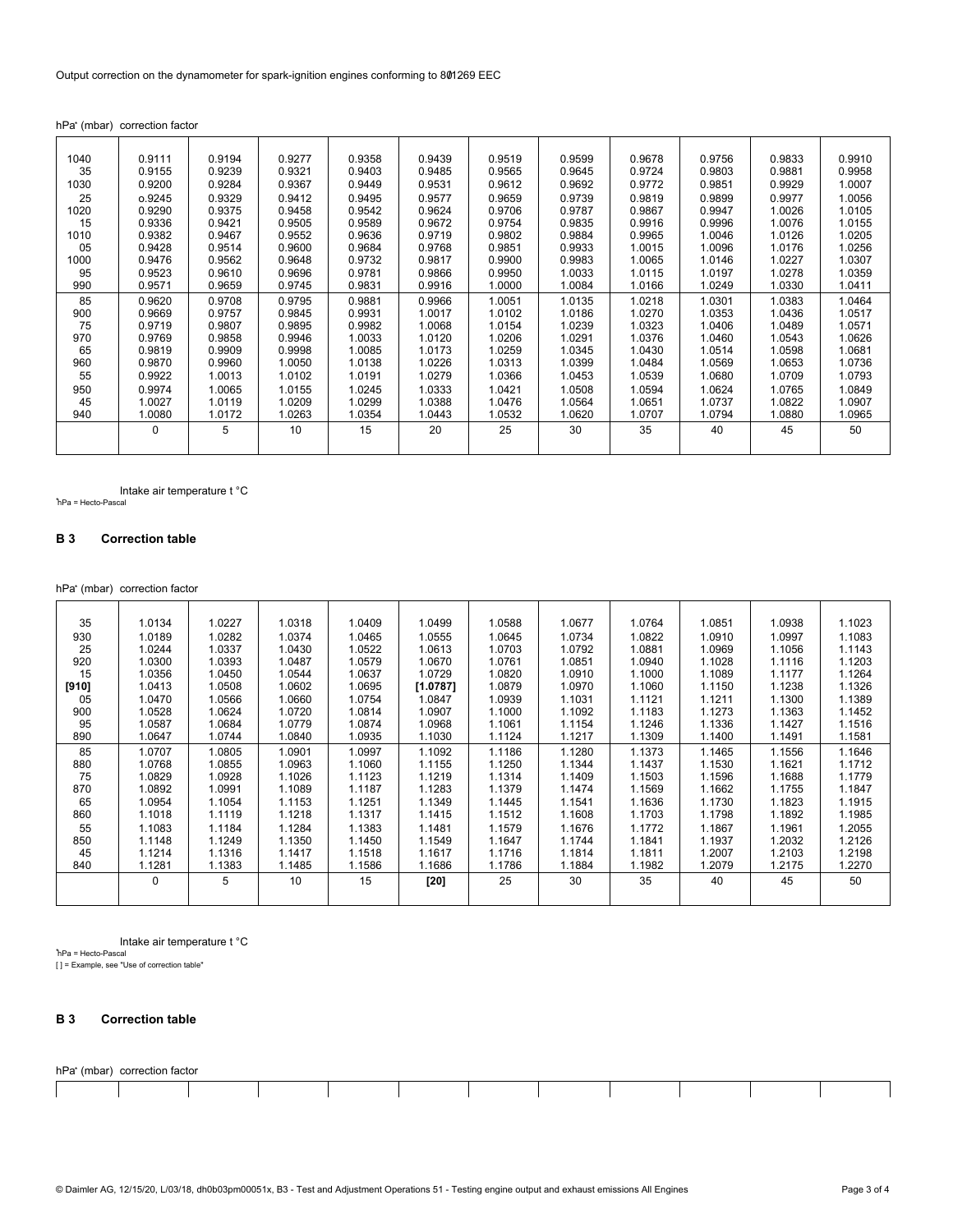hPa\* (mbar) correction factor

| 1040 | 0.9111 | 0.9194 | 0.9277 | 0.9358 | 0.9439 | 0.9519 | 0.9599 | 0.9678 | 0.9756 | 0.9833 | 0.9910 |
|------|--------|--------|--------|--------|--------|--------|--------|--------|--------|--------|--------|
| 35   | 0.9155 | 0.9239 | 0.9321 | 0.9403 | 0.9485 | 0.9565 | 0.9645 | 0.9724 | 0.9803 | 0.9881 | 0.9958 |
| 1030 | 0.9200 | 0.9284 | 0.9367 | 0.9449 | 0.9531 | 0.9612 | 0.9692 | 0.9772 | 0.9851 | 0.9929 | 1.0007 |
| 25   | o.9245 | 0.9329 | 0.9412 | 0.9495 | 0.9577 | 0.9659 | 0.9739 | 0.9819 | 0.9899 | 0.9977 | 1.0056 |
| 1020 | 0.9290 | 0.9375 | 0.9458 | 0.9542 | 0.9624 | 0.9706 | 0.9787 | 0.9867 | 0.9947 | 1.0026 | 1.0105 |
| 15   | 0.9336 | 0.9421 | 0.9505 | 0.9589 | 0.9672 | 0.9754 | 0.9835 | 0.9916 | 0.9996 | 1.0076 | 1.0155 |
| 1010 | 0.9382 | 0.9467 | 0.9552 | 0.9636 | 0.9719 | 0.9802 | 0.9884 | 0.9965 | 1.0046 | 1.0126 | 1.0205 |
| 05   | 0.9428 | 0.9514 | 0.9600 | 0.9684 | 0.9768 | 0.9851 | 0.9933 | 1.0015 | 1.0096 | 1.0176 | 1.0256 |
| 1000 | 0.9476 | 0.9562 | 0.9648 | 0.9732 | 0.9817 | 0.9900 | 0.9983 | 1.0065 | 1.0146 | 1.0227 | 1.0307 |
| 95   | 0.9523 | 0.9610 | 0.9696 | 0.9781 | 0.9866 | 0.9950 | 1.0033 | 1.0115 | 1.0197 | 1.0278 | 1.0359 |
| 990  | 0.9571 | 0.9659 | 0.9745 | 0.9831 | 0.9916 | 1.0000 | 1.0084 | 1.0166 | 1.0249 | 1.0330 | 1.0411 |
| 85   | 0.9620 | 0.9708 | 0.9795 | 0.9881 | 0.9966 | 1.0051 | 1.0135 | 1.0218 | 1.0301 | 1.0383 | 1.0464 |
| 900  | 0.9669 | 0.9757 | 0.9845 | 0.9931 | 1.0017 | 1.0102 | 1.0186 | 1.0270 | 1.0353 | 1.0436 | 1.0517 |
| 75   | 0.9719 | 0.9807 | 0.9895 | 0.9982 | 1.0068 | 1.0154 | 1.0239 | 1.0323 | 1.0406 | 1.0489 | 1.0571 |
| 970  | 0.9769 | 0.9858 | 0.9946 | 1.0033 | 1.0120 | 1.0206 | 1.0291 | 1.0376 | 1.0460 | 1.0543 | 1.0626 |
| 65   | 0.9819 | 0.9909 | 0.9998 | 1.0085 | 1.0173 | 1.0259 | 1.0345 | 1.0430 | 1.0514 | 1.0598 | 1.0681 |
| 960  | 0.9870 | 0.9960 | 1.0050 | 1.0138 | 1.0226 | 1.0313 | 1.0399 | 1.0484 | 1.0569 | 1.0653 | 1.0736 |
| 55   | 0.9922 | 1.0013 | 1.0102 | 1.0191 | 1.0279 | 1.0366 | 1.0453 | 1.0539 | 1.0680 | 1.0709 | 1.0793 |
| 950  | 0.9974 | 1.0065 | 1.0155 | 1.0245 | 1.0333 | 1.0421 | 1.0508 | 1.0594 | 1.0624 | 1.0765 | 1.0849 |
| 45   | 1.0027 | 1.0119 | 1.0209 | 1.0299 | 1.0388 | 1.0476 | 1.0564 | 1.0651 | 1.0737 | 1.0822 | 1.0907 |
| 940  | 1.0080 | 1.0172 | 1.0263 | 1.0354 | 1.0443 | 1.0532 | 1.0620 | 1.0707 | 1.0794 | 1.0880 | 1.0965 |
|      | 0      | 5      | 10     | 15     | 20     | 25     | 30     | 35     | 40     | 45     | 50     |
|      |        |        |        |        |        |        |        |        |        |        |        |
|      |        |        |        |        |        |        |        |        |        |        |        |

Intake air temperature t °C \*hPa = Hecto-Pascal

# **B 3 Correction table**

hPa\* (mbar) correction factor

| 35    | 1.0134   | 1.0227 | 1.0318 | 1.0409 | 1.0499   | 1.0588 | 1.0677 | 1.0764 | 1.0851 | 1.0938 | 1.1023 |
|-------|----------|--------|--------|--------|----------|--------|--------|--------|--------|--------|--------|
| 930   | 1.0189   | 1.0282 | 1.0374 | 1.0465 | 1.0555   | 1.0645 | 1.0734 | 1.0822 | 1.0910 | 1.0997 | 1.1083 |
| 25    | 1.0244   | 1.0337 | 1.0430 | 1.0522 | 1.0613   | 1.0703 | 1.0792 | 1.0881 | 1.0969 | 1.1056 | 1.1143 |
| 920   | 1.0300   | 1.0393 | 1.0487 | 1.0579 | 1.0670   | 1.0761 | 1.0851 | 1.0940 | 1.1028 | 1.1116 | 1.1203 |
| 15    | 1.0356   | 1.0450 | 1.0544 | 1.0637 | 1.0729   | 1.0820 | 1.0910 | 1.1000 | 1.1089 | 1.1177 | 1.1264 |
| [910] | 1.0413   | 1.0508 | 1.0602 | 1.0695 | [1.0787] | 1.0879 | 1.0970 | 1.1060 | 1.1150 | 1.1238 | 1.1326 |
| 05    | 1.0470   | 1.0566 | 1.0660 | 1.0754 | 1.0847   | 1.0939 | 1.1031 | 1.1121 | 1.1211 | 1.1300 | 1.1389 |
| 900   | 1.0528   | 1.0624 | 1.0720 | 1.0814 | 1.0907   | 1.1000 | 1.1092 | 1.1183 | 1.1273 | 1.1363 | 1.1452 |
| 95    | 1.0587   | 1.0684 | 1.0779 | 1.0874 | 1.0968   | 1.1061 | 1.1154 | 1.1246 | 1.1336 | 1.1427 | 1.1516 |
| 890   | 1.0647   | 1.0744 | 1.0840 | 1.0935 | 1.1030   | 1.1124 | 1.1217 | 1.1309 | 1.1400 | 1.1491 | 1.1581 |
| 85    | 1.0707   | 1.0805 | 1.0901 | 1.0997 | 1.1092   | 1.1186 | 1.1280 | 1.1373 | 1.1465 | 1.1556 | 1.1646 |
| 880   | 1.0768   | 1.0855 | 1.0963 | 1.1060 | 1.1155   | 1.1250 | 1.1344 | 1.1437 | 1.1530 | 1.1621 | 1.1712 |
| 75    | 1.0829   | 1.0928 | 1.1026 | 1.1123 | 1.1219   | 1.1314 | 1.1409 | 1.1503 | 1.1596 | 1.1688 | 1.1779 |
| 870   | 1.0892   | 1.0991 | 1.1089 | 1.1187 | 1.1283   | 1.1379 | 1.1474 | 1.1569 | 1.1662 | 1.1755 | 1.1847 |
| 65    | 1.0954   | 1.1054 | 1.1153 | 1.1251 | 1.1349   | 1.1445 | 1.1541 | 1.1636 | 1.1730 | 1.1823 | 1.1915 |
| 860   | 1.1018   | 1.1119 | 1.1218 | 1.1317 | 1.1415   | 1.1512 | 1.1608 | 1.1703 | 1.1798 | 1.1892 | 1.1985 |
| 55    | 1.1083   | 1.1184 | 1.1284 | 1.1383 | 1.1481   | 1.1579 | 1.1676 | 1.1772 | 1.1867 | 1.1961 | 1.2055 |
| 850   | 1.1148   | 1.1249 | 1.1350 | 1.1450 | 1.1549   | 1.1647 | 1.1744 | 1.1841 | 1.1937 | 1.2032 | 1.2126 |
| 45    | 1.1214   | 1.1316 | 1.1417 | 1.1518 | 1.1617   | 1.1716 | 1.1814 | 1.1811 | 1.2007 | 1.2103 | 1.2198 |
| 840   | 1.1281   | 1.1383 | 1.1485 | 1.1586 | 1.1686   | 1.1786 | 1.1884 | 1.1982 | 1.2079 | 1.2175 | 1.2270 |
|       | $\Omega$ | 5      | 10     | 15     | $[20]$   | 25     | 30     | 35     | 40     | 45     | 50     |
|       |          |        |        |        |          |        |        |        |        |        |        |
|       |          |        |        |        |          |        |        |        |        |        |        |

Intake air temperature t °C

\*hPa = Hecto-Pascal [ ] = Example, see "Use of correction table"

# **B 3 Correction table**

|  | hPa* (mbar) correction factor |  |
|--|-------------------------------|--|
|  |                               |  |